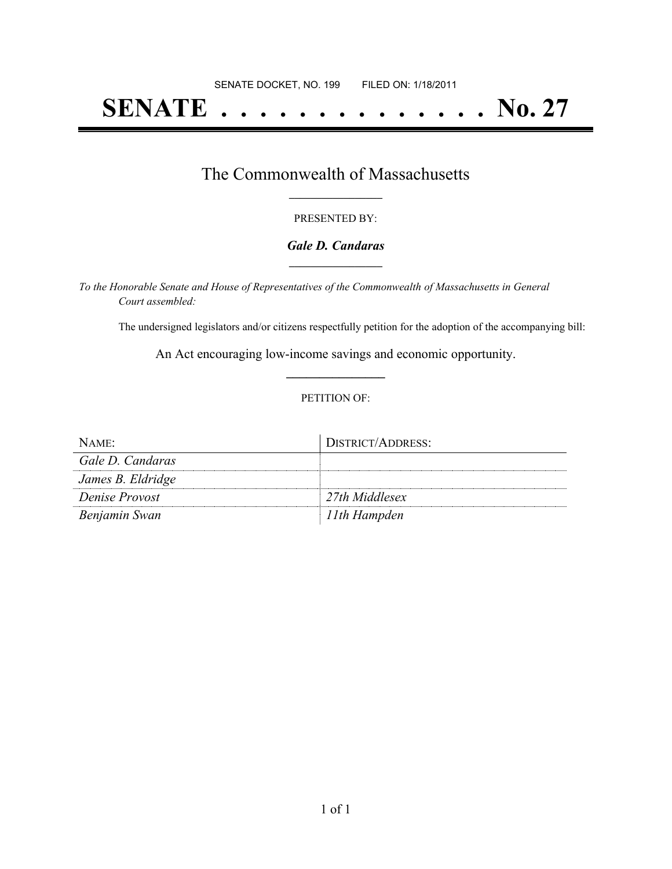# **SENATE . . . . . . . . . . . . . . No. 27**

## The Commonwealth of Massachusetts **\_\_\_\_\_\_\_\_\_\_\_\_\_\_\_\_\_**

#### PRESENTED BY:

#### *Gale D. Candaras* **\_\_\_\_\_\_\_\_\_\_\_\_\_\_\_\_\_**

*To the Honorable Senate and House of Representatives of the Commonwealth of Massachusetts in General Court assembled:*

The undersigned legislators and/or citizens respectfully petition for the adoption of the accompanying bill:

An Act encouraging low-income savings and economic opportunity. **\_\_\_\_\_\_\_\_\_\_\_\_\_\_\_**

#### PETITION OF:

| $NAME$ :          | DISTRICT/ADDRESS: |
|-------------------|-------------------|
| Gale D. Candaras  |                   |
| James B. Eldridge |                   |
| Denise Provost    | 27th Middlesex    |
| Benjamin Swan     | 11th Hampden      |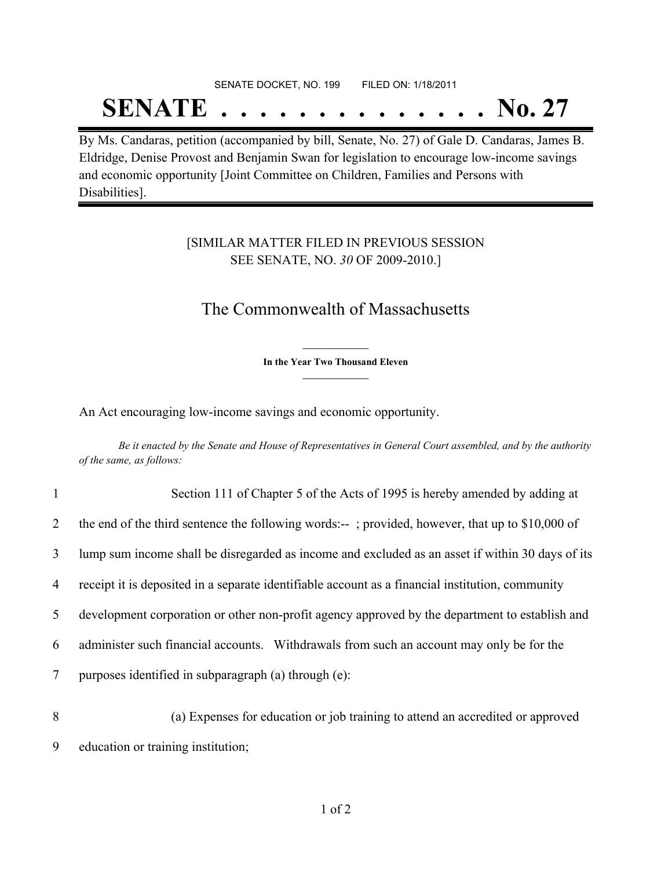# SENATE DOCKET, NO. 199 FILED ON: 1/18/2011 **SENATE . . . . . . . . . . . . . . No. 27**

By Ms. Candaras, petition (accompanied by bill, Senate, No. 27) of Gale D. Candaras, James B. Eldridge, Denise Provost and Benjamin Swan for legislation to encourage low-income savings and economic opportunity [Joint Committee on Children, Families and Persons with Disabilities].

### [SIMILAR MATTER FILED IN PREVIOUS SESSION SEE SENATE, NO. *30* OF 2009-2010.]

# The Commonwealth of Massachusetts

**\_\_\_\_\_\_\_\_\_\_\_\_\_\_\_ In the Year Two Thousand Eleven \_\_\_\_\_\_\_\_\_\_\_\_\_\_\_**

An Act encouraging low-income savings and economic opportunity.

Be it enacted by the Senate and House of Representatives in General Court assembled, and by the authority *of the same, as follows:*

| $\mathbf{1}$   | Section 111 of Chapter 5 of the Acts of 1995 is hereby amended by adding at                      |
|----------------|--------------------------------------------------------------------------------------------------|
| $\overline{2}$ | the end of the third sentence the following words:--; provided, however, that up to \$10,000 of  |
| 3              | lump sum income shall be disregarded as income and excluded as an asset if within 30 days of its |
| $\overline{4}$ | receipt it is deposited in a separate identifiable account as a financial institution, community |
| 5              | development corporation or other non-profit agency approved by the department to establish and   |
| 6              | administer such financial accounts. Withdrawals from such an account may only be for the         |
| 7              | purposes identified in subparagraph (a) through (e):                                             |
| 8              | (a) Expenses for education or job training to attend an accredited or approved                   |

9 education or training institution;